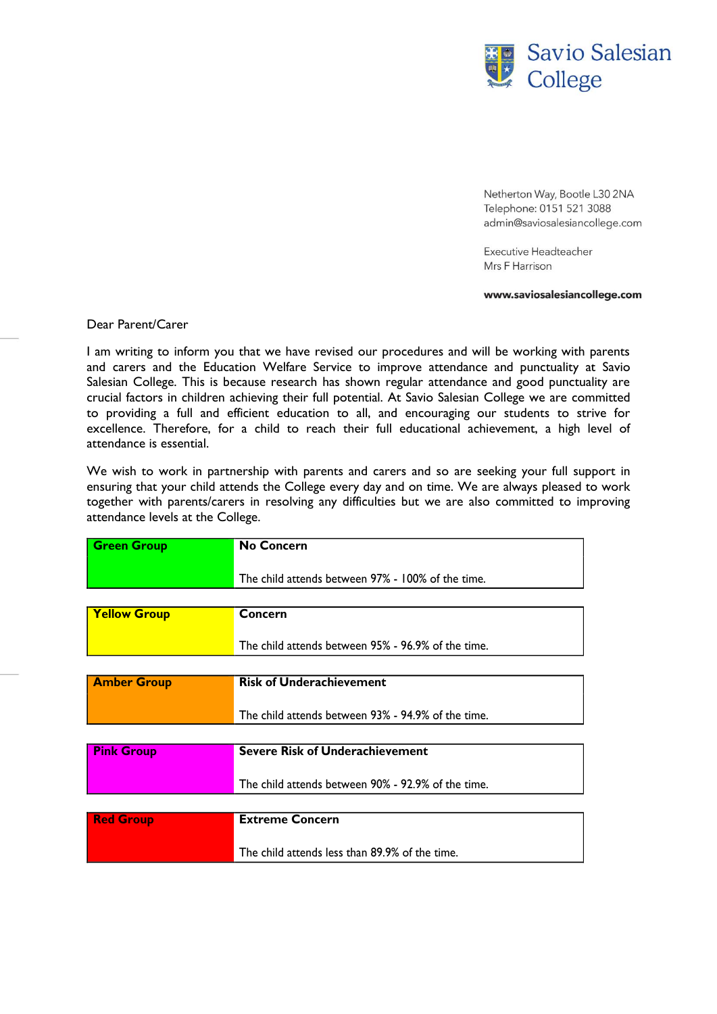

Netherton Way, Bootle L30 2NA Telephone: 0151 521 3088 admin@saviosalesiancollege.com

Executive Headteacher Mrs F Harrison

## www.saviosalesiancollege.com

## Dear Parent/Carer

I am writing to inform you that we have revised our procedures and will be working with parents and carers and the Education Welfare Service to improve attendance and punctuality at Savio Salesian College. This is because research has shown regular attendance and good punctuality are crucial factors in children achieving their full potential. At Savio Salesian College we are committed to providing a full and efficient education to all, and encouraging our students to strive for excellence. Therefore, for a child to reach their full educational achievement, a high level of attendance is essential.

We wish to work in partnership with parents and carers and so are seeking your full support in ensuring that your child attends the College every day and on time. We are always pleased to work together with parents/carers in resolving any difficulties but we are also committed to improving attendance levels at the College.

| <b>Green Group</b>  | <b>No Concern</b>                                  |
|---------------------|----------------------------------------------------|
|                     |                                                    |
|                     | The child attends between 97% - 100% of the time.  |
|                     |                                                    |
| <b>Yellow Group</b> | Concern                                            |
|                     |                                                    |
|                     | The child attends between 95% - 96.9% of the time. |
|                     |                                                    |
| <b>Amber Group</b>  | <b>Risk of Underachievement</b>                    |
|                     |                                                    |
|                     | The child attends between 93% - 94.9% of the time. |
|                     |                                                    |
| <b>Pink Group</b>   | <b>Severe Risk of Underachievement</b>             |
|                     |                                                    |
|                     | The child attends between 90% - 92.9% of the time. |
|                     |                                                    |
| <b>Red Group</b>    | <b>Extreme Concern</b>                             |
|                     |                                                    |
|                     | The child attends less than 89.9% of the time.     |